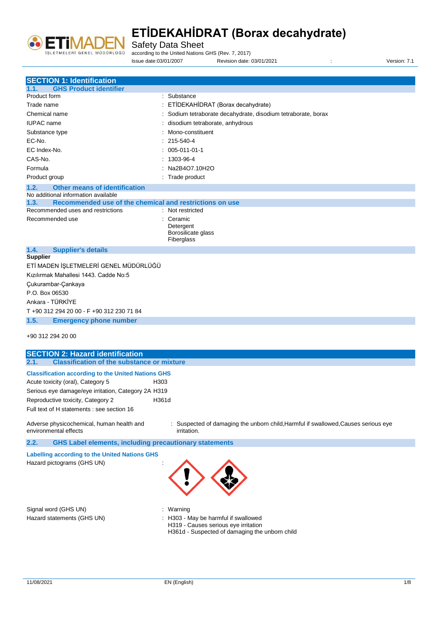

Safety Data Sheet

according to the United Nations GHS (Rev. 7, 2017)

Issue date:03/01/2007 Revision date: 03/01/2021 : Version: 7.1

| <b>SECTION 1: Identification</b>                                                    |                                                                                                          |
|-------------------------------------------------------------------------------------|----------------------------------------------------------------------------------------------------------|
| <b>GHS Product identifier</b><br>1.1.                                               |                                                                                                          |
| Product form                                                                        | : Substance                                                                                              |
| Trade name                                                                          | : ETİDEKAHİDRAT (Borax decahydrate)                                                                      |
| Chemical name                                                                       | : Sodium tetraborate decahydrate, disodium tetraborate, borax                                            |
| <b>IUPAC</b> name                                                                   | disodium tetraborate, anhydrous                                                                          |
| Substance type                                                                      | Mono-constituent                                                                                         |
| EC-No.                                                                              | 215-540-4                                                                                                |
| EC Index-No.                                                                        | 005-011-01-1                                                                                             |
| CAS-No.                                                                             | 1303-96-4                                                                                                |
| Formula                                                                             | Na2B4O7.10H2O                                                                                            |
|                                                                                     | : Trade product                                                                                          |
| Product group                                                                       |                                                                                                          |
| 1.2.<br><b>Other means of identification</b><br>No additional information available |                                                                                                          |
| Recommended use of the chemical and restrictions on use<br>1.3.                     |                                                                                                          |
| Recommended uses and restrictions                                                   | : Not restricted                                                                                         |
| Recommended use                                                                     | Ceramic                                                                                                  |
|                                                                                     | Detergent                                                                                                |
|                                                                                     | Borosilicate glass                                                                                       |
| 1.4.                                                                                | Fiberglass                                                                                               |
| <b>Supplier's details</b><br><b>Supplier</b>                                        |                                                                                                          |
| ETİ MADEN İŞLETMELERİ GENEL MÜDÜRLÜĞÜ                                               |                                                                                                          |
| Kızılırmak Mahallesi 1443. Cadde No:5                                               |                                                                                                          |
| Çukurambar-Çankaya                                                                  |                                                                                                          |
| P.O. Box 06530                                                                      |                                                                                                          |
| Ankara - TÜRKİYE                                                                    |                                                                                                          |
|                                                                                     |                                                                                                          |
| T +90 312 294 20 00 - F +90 312 230 71 84                                           |                                                                                                          |
| 1.5.<br><b>Emergency phone number</b>                                               |                                                                                                          |
| +90 312 294 20 00                                                                   |                                                                                                          |
| <b>SECTION 2: Hazard identification</b>                                             |                                                                                                          |
| <b>Classification of the substance or mixture</b><br>2.1.                           |                                                                                                          |
| <b>Classification according to the United Nations GHS</b>                           |                                                                                                          |
| H303<br>Acute toxicity (oral), Category 5                                           |                                                                                                          |
| Serious eye damage/eye irritation, Category 2A H319                                 |                                                                                                          |
| Reproductive toxicity, Category 2<br>H361d                                          |                                                                                                          |
| Full text of H statements : see section 16                                          |                                                                                                          |
|                                                                                     |                                                                                                          |
| Adverse physicochemical, human health and<br>environmental effects                  | : Suspected of damaging the unborn child, Harmful if swallowed, Causes serious eye<br><i>irritation.</i> |
| 2.2.<br><b>GHS Label elements, including precautionary statements</b>               |                                                                                                          |
| <b>Labelling according to the United Nations GHS</b>                                |                                                                                                          |
| Hazard pictograms (GHS UN)                                                          |                                                                                                          |
| Signal word (GHS UN)                                                                | : Warning                                                                                                |
| Hazard statements (GHS UN)                                                          | : H303 - May be harmful if swallowed                                                                     |
|                                                                                     | H319 - Causes serious eye irritation<br>H361d - Suspected of damaging the unborn child                   |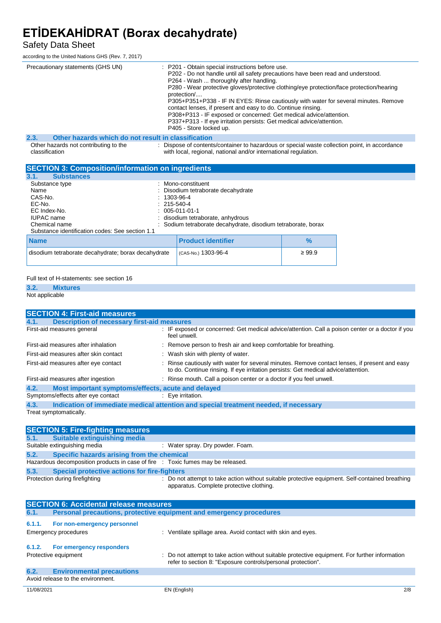### Safety Data Sheet

according to the United Nations GHS (Rev. 7, 2017)

| Precautionary statements (GHS UN)                           | : P201 - Obtain special instructions before use.<br>P202 - Do not handle until all safety precautions have been read and understood.<br>P264 - Wash  thoroughly after handling.<br>P280 - Wear protective gloves/protective clothing/eye protection/face protection/hearing<br>protection<br>P305+P351+P338 - IF IN EYES: Rinse cautiously with water for several minutes. Remove<br>contact lenses, if present and easy to do. Continue rinsing.<br>P308+P313 - IF exposed or concerned: Get medical advice/attention.<br>P337+P313 - If eye irritation persists: Get medical advice/attention.<br>P405 - Store locked up. |
|-------------------------------------------------------------|-----------------------------------------------------------------------------------------------------------------------------------------------------------------------------------------------------------------------------------------------------------------------------------------------------------------------------------------------------------------------------------------------------------------------------------------------------------------------------------------------------------------------------------------------------------------------------------------------------------------------------|
| 2.3.<br>Other hazards which do not result in classification |                                                                                                                                                                                                                                                                                                                                                                                                                                                                                                                                                                                                                             |
| Other hazards not contributing to the<br>classification     | : Dispose of contents/container to hazardous or special waste collection point, in accordance<br>with local, regional, national and/or international regulation.                                                                                                                                                                                                                                                                                                                                                                                                                                                            |

| <b>SECTION 3: Composition/information on ingredients</b>                                                                                             |                                                                                                                                                                                                                              |             |
|------------------------------------------------------------------------------------------------------------------------------------------------------|------------------------------------------------------------------------------------------------------------------------------------------------------------------------------------------------------------------------------|-------------|
| <b>Substances</b><br>3.1.                                                                                                                            |                                                                                                                                                                                                                              |             |
| Substance type<br>Name<br>CAS-No.<br>EC-No.<br>EC Index-No.<br><b>IUPAC</b> name<br>Chemical name<br>Substance identification codes: See section 1.1 | : Mono-constituent<br>: Disodium tetraborate decahydrate<br>$: 1303 - 96 - 4$<br>$: 215 - 540 - 4$<br>$: 005-011-01-1$<br>: disodium tetraborate, anhydrous<br>: Sodium tetraborate decahydrate, disodium tetraborate, borax |             |
| <b>Name</b>                                                                                                                                          | <b>Product identifier</b>                                                                                                                                                                                                    | $\%$        |
| disodium tetraborate decahydrate; borax decahydrate                                                                                                  | (CAS-No.) 1303-96-4                                                                                                                                                                                                          | $\geq 99.9$ |

#### Full text of H-statements: see section 16

#### **3.2. Mixtures** Not applicable

| <b>SECTION 4: First-aid measures</b>                       |                                                                                                                                                                                     |
|------------------------------------------------------------|-------------------------------------------------------------------------------------------------------------------------------------------------------------------------------------|
| <b>Description of necessary first-aid measures</b><br>4.1. |                                                                                                                                                                                     |
| First-aid measures general                                 | : IF exposed or concerned: Get medical advice/attention. Call a poison center or a doctor if you<br>feel unwell.                                                                    |
| First-aid measures after inhalation                        | : Remove person to fresh air and keep comfortable for breathing.                                                                                                                    |
| First-aid measures after skin contact                      | : Wash skin with plenty of water.                                                                                                                                                   |
| First-aid measures after eye contact                       | : Rinse cautiously with water for several minutes. Remove contact lenses, if present and easy<br>to do. Continue rinsing. If eye irritation persists: Get medical advice/attention. |
| First-aid measures after ingestion                         | : Rinse mouth. Call a poison center or a doctor if you feel unwell.                                                                                                                 |
| Most important symptoms/effects, acute and delayed<br>4.2. |                                                                                                                                                                                     |
| Symptoms/effects after eye contact                         | : Eye irritation.                                                                                                                                                                   |
| 4.3.                                                       | Indication of immediate medical attention and special treatment needed, if necessary                                                                                                |
| Treat symptomatically.                                     |                                                                                                                                                                                     |

|        | <b>SECTION 5: Fire-fighting measures</b>                                        |                                                                                                                                             |  |
|--------|---------------------------------------------------------------------------------|---------------------------------------------------------------------------------------------------------------------------------------------|--|
| 5.1.   | Suitable extinguishing media                                                    |                                                                                                                                             |  |
|        | Suitable extinguishing media                                                    | : Water spray. Dry powder. Foam.                                                                                                            |  |
| 5.2.   | Specific hazards arising from the chemical                                      |                                                                                                                                             |  |
|        | Hazardous decomposition products in case of fire : Toxic fumes may be released. |                                                                                                                                             |  |
| 5.3.   | <b>Special protective actions for fire-fighters</b>                             |                                                                                                                                             |  |
|        | Protection during firefighting                                                  | : Do not attempt to take action without suitable protective equipment. Self-contained breathing<br>apparatus. Complete protective clothing. |  |
|        | <b>SECTION 6: Accidental release measures</b>                                   |                                                                                                                                             |  |
| 6.1.   |                                                                                 | Personal precautions, protective equipment and emergency procedures                                                                         |  |
| 6.1.1. | For non-emergency personnel                                                     |                                                                                                                                             |  |

| <u><b>U.I.I.</b> FUILIDITEIRERENCY DEISONIER</u><br>Emergency procedures      | : Ventilate spillage area. Avoid contact with skin and eves.                                                                                                   |     |
|-------------------------------------------------------------------------------|----------------------------------------------------------------------------------------------------------------------------------------------------------------|-----|
| For emergency responders<br>6.1.2.<br>Protective equipment                    | : Do not attempt to take action without suitable protective equipment. For further information<br>refer to section 8: "Exposure controls/personal protection". |     |
| <b>Environmental precautions</b><br>6.2.<br>Avoid release to the environment. |                                                                                                                                                                |     |
| 11/08/2021                                                                    | EN (English)                                                                                                                                                   | 2/8 |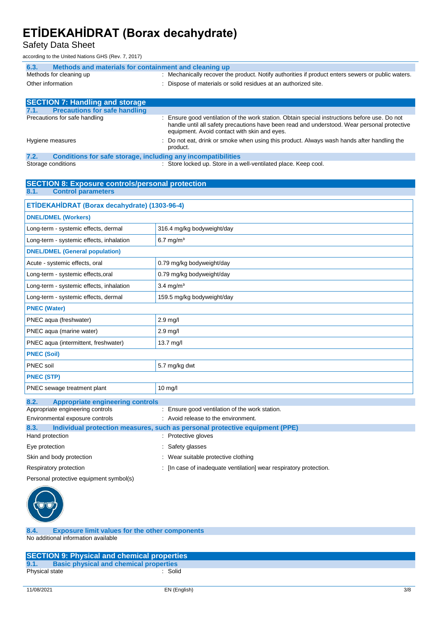Safety Data Sheet

according to the United Nations GHS (Rev. 7, 2017)

| Methods and materials for containment and cleaning up<br>6.3. |                                                                                                                                                                                                                                              |  |
|---------------------------------------------------------------|----------------------------------------------------------------------------------------------------------------------------------------------------------------------------------------------------------------------------------------------|--|
| Methods for cleaning up                                       | : Mechanically recover the product. Notify authorities if product enters sewers or public waters.                                                                                                                                            |  |
| Other information                                             | : Dispose of materials or solid residues at an authorized site.                                                                                                                                                                              |  |
|                                                               |                                                                                                                                                                                                                                              |  |
| <b>SECTION 7: Handling and storage</b>                        |                                                                                                                                                                                                                                              |  |
| <b>Precautions for safe handling</b><br>7.1.                  |                                                                                                                                                                                                                                              |  |
| Precautions for safe handling                                 | : Ensure good ventilation of the work station. Obtain special instructions before use. Do not<br>handle until all safety precautions have been read and understood. Wear personal protective<br>equipment. Avoid contact with skin and eyes. |  |
| Hygiene measures                                              | : Do not eat, drink or smoke when using this product. Always wash hands after handling the<br>product.                                                                                                                                       |  |

**7.2. Conditions for safe storage, including any incompatibilities**

**SECTION 8: Exposure controls/personal protection**

| Storage conditions | : Store locked up. Store in a well-ventilated place. Keep cool. |
|--------------------|-----------------------------------------------------------------|
|                    |                                                                 |

| 8.1.<br><b>Control parameters</b>                                   |                                                                                                    |  |  |
|---------------------------------------------------------------------|----------------------------------------------------------------------------------------------------|--|--|
| ETİDEKAHİDRAT (Borax decahydrate) (1303-96-4)                       |                                                                                                    |  |  |
| <b>DNEL/DMEL (Workers)</b>                                          |                                                                                                    |  |  |
| Long-term - systemic effects, dermal                                | 316.4 mg/kg bodyweight/day                                                                         |  |  |
| Long-term - systemic effects, inhalation                            | $6.7$ mg/m <sup>3</sup>                                                                            |  |  |
| <b>DNEL/DMEL (General population)</b>                               |                                                                                                    |  |  |
| Acute - systemic effects, oral                                      | 0.79 mg/kg bodyweight/day                                                                          |  |  |
| Long-term - systemic effects, oral                                  | 0.79 mg/kg bodyweight/day                                                                          |  |  |
| $3.4$ mg/m <sup>3</sup><br>Long-term - systemic effects, inhalation |                                                                                                    |  |  |
| 159.5 mg/kg bodyweight/day<br>Long-term - systemic effects, dermal  |                                                                                                    |  |  |
| <b>PNEC (Water)</b>                                                 |                                                                                                    |  |  |
| PNEC aqua (freshwater)                                              | $2.9$ mg/l                                                                                         |  |  |
| PNEC aqua (marine water)<br>$2.9$ mg/l                              |                                                                                                    |  |  |
| PNEC aqua (intermittent, freshwater)<br>13.7 mg/l                   |                                                                                                    |  |  |
| <b>PNEC (Soil)</b>                                                  |                                                                                                    |  |  |
| PNEC soil<br>5.7 mg/kg dwt                                          |                                                                                                    |  |  |
| <b>PNEC (STP)</b>                                                   |                                                                                                    |  |  |
| PNEC sewage treatment plant                                         | $10$ mg/l                                                                                          |  |  |
| 8.2.<br><b>Appropriate engineering controls</b>                     |                                                                                                    |  |  |
| Appropriate engineering controls                                    | : Ensure good ventilation of the work station.                                                     |  |  |
| Environmental exposure controls                                     | : Avoid release to the environment.                                                                |  |  |
| 8.3.<br>Hand protection                                             | Individual protection measures, such as personal protective equipment (PPE)<br>: Protective gloves |  |  |
| Eye protection                                                      | Safety glasses                                                                                     |  |  |
| Skin and body protection                                            | : Wear suitable protective clothing                                                                |  |  |
| Respiratory protection                                              | [In case of inadequate ventilation] wear respiratory protection.                                   |  |  |
|                                                                     | Personal protective equipment symbol(s)                                                            |  |  |



**8.4. Exposure limit values for the other components** No additional information available

|                | <b>SECTION 9: Physical and chemical properties</b> |
|----------------|----------------------------------------------------|
| 9.1.           | <b>Basic physical and chemical properties</b>      |
| Physical state | Solid                                              |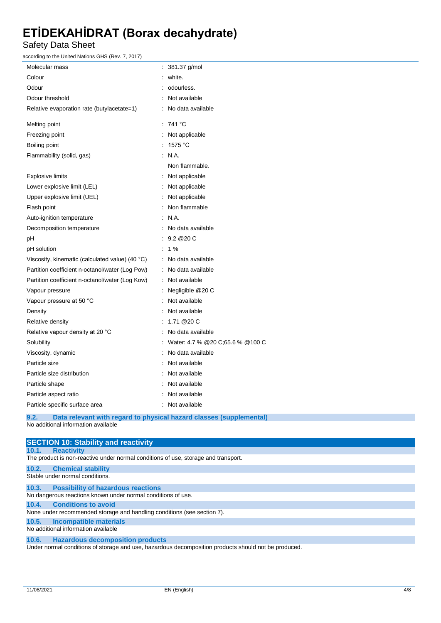Safety Data Sheet

according to the United Nations GHS (Rev. 7, 2017)

| Molecular mass                                  | : 381.37 g/mol                                                      |
|-------------------------------------------------|---------------------------------------------------------------------|
| Colour                                          | white.                                                              |
| Odour                                           | odourless.                                                          |
| Odour threshold                                 | Not available                                                       |
| Relative evaporation rate (butylacetate=1)      | No data available                                                   |
| Melting point                                   | : 741 °C                                                            |
| Freezing point                                  | : Not applicable                                                    |
| Boiling point                                   | : 1575 $^{\circ}$ C                                                 |
| Flammability (solid, gas)                       | : N.A.                                                              |
|                                                 | Non flammable.                                                      |
| <b>Explosive limits</b>                         | : Not applicable                                                    |
| Lower explosive limit (LEL)                     | : Not applicable                                                    |
| Upper explosive limit (UEL)                     | Not applicable                                                      |
| Flash point                                     | Non flammable                                                       |
| Auto-ignition temperature                       | N.A.                                                                |
| Decomposition temperature                       | No data available                                                   |
| рH                                              | : 9.2@20C                                                           |
| pH solution                                     | $: 1\%$                                                             |
| Viscosity, kinematic (calculated value) (40 °C) | : No data available                                                 |
| Partition coefficient n-octanol/water (Log Pow) | : No data available                                                 |
| Partition coefficient n-octanol/water (Log Kow) | : Not available                                                     |
| Vapour pressure                                 | : Negligible @20 C                                                  |
| Vapour pressure at 50 °C                        | Not available                                                       |
| Density                                         | Not available                                                       |
| Relative density                                | : $1.71@20C$                                                        |
| Relative vapour density at 20 °C                | No data available                                                   |
| Solubility                                      | Water: 4.7 % @20 C;65.6 % @100 C                                    |
| Viscosity, dynamic                              | No data available                                                   |
| Particle size                                   | Not available                                                       |
| Particle size distribution                      | Not available                                                       |
| Particle shape                                  | : Not available                                                     |
| Particle aspect ratio                           | Not available                                                       |
| Particle specific surface area                  | : Not available                                                     |
| 9.2.<br>No additional information available     | Data relevant with regard to physical hazard classes (supplemental) |

| <b>SECTION 10: Stability and reactivity</b>                                                          |
|------------------------------------------------------------------------------------------------------|
| <b>Reactivity</b><br>10.1.                                                                           |
| The product is non-reactive under normal conditions of use, storage and transport.                   |
| 10.2.<br><b>Chemical stability</b>                                                                   |
| Stable under normal conditions.                                                                      |
| 10.3.<br><b>Possibility of hazardous reactions</b>                                                   |
| No dangerous reactions known under normal conditions of use.                                         |
| 10.4. Conditions to avoid                                                                            |
| None under recommended storage and handling conditions (see section 7).                              |
| <b>Incompatible materials</b><br>10.5.                                                               |
| No additional information available                                                                  |
| 10.6. Hazardous decomposition products                                                               |
| I Inder normal conditions of storage and use hazardous decomposition products should not be produced |

er normal conditions of storage and use, hazardous decomposition products should not be produced.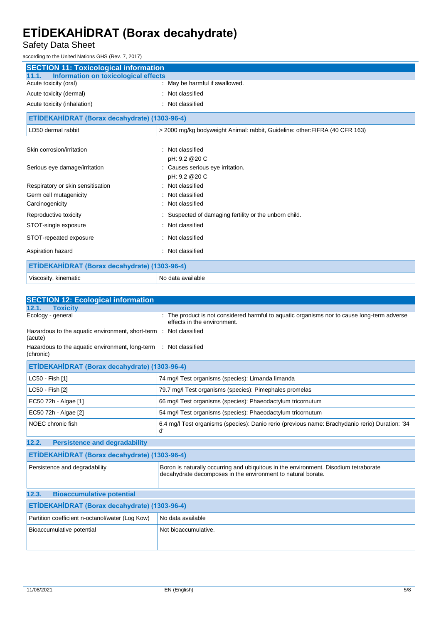### Safety Data Sheet

according to the United Nations GHS (Rev. 7, 2017)

| <b>SECTION 11: Toxicological information</b>         |                                                                              |  |
|------------------------------------------------------|------------------------------------------------------------------------------|--|
| <b>Information on toxicological effects</b><br>11.1. |                                                                              |  |
| Acute toxicity (oral)                                | : May be harmful if swallowed.                                               |  |
| Acute toxicity (dermal)                              | Not classified                                                               |  |
| Acute toxicity (inhalation)                          | : Not classified                                                             |  |
| ETİDEKAHİDRAT (Borax decahydrate) (1303-96-4)        |                                                                              |  |
| LD50 dermal rabbit                                   | > 2000 mg/kg bodyweight Animal: rabbit, Guideline: other: FIFRA (40 CFR 163) |  |
|                                                      |                                                                              |  |
| Skin corrosion/irritation                            | Not classified                                                               |  |
|                                                      | pH: 9.2 @ 20 C                                                               |  |
| Serious eye damage/irritation                        | Causes serious eye irritation.                                               |  |
|                                                      | pH: 9.2 @ 20 C                                                               |  |
| Respiratory or skin sensitisation                    | Not classified                                                               |  |
| Germ cell mutagenicity                               | Not classified                                                               |  |
| Carcinogenicity                                      | Not classified                                                               |  |
| Reproductive toxicity                                | Suspected of damaging fertility or the unborn child.                         |  |
| STOT-single exposure                                 | Not classified                                                               |  |
| STOT-repeated exposure                               | : Not classified                                                             |  |
| Aspiration hazard                                    | Not classified                                                               |  |
| ETİDEKAHİDRAT (Borax decahydrate) (1303-96-4)        |                                                                              |  |
| Viscosity, kinematic                                 | No data available                                                            |  |

| <b>SECTION 12: Ecological information</b>                                    |                                                                                                                                                      |  |
|------------------------------------------------------------------------------|------------------------------------------------------------------------------------------------------------------------------------------------------|--|
| <b>Toxicity</b><br>12.1.                                                     |                                                                                                                                                      |  |
| Ecology - general                                                            | The product is not considered harmful to aquatic organisms nor to cause long-term adverse<br>effects in the environment.                             |  |
| Hazardous to the aquatic environment, short-term : Not classified<br>(acute) |                                                                                                                                                      |  |
| Hazardous to the aquatic environment, long-term<br>(chronic)                 | : Not classified                                                                                                                                     |  |
| ETİDEKAHİDRAT (Borax decahydrate) (1303-96-4)                                |                                                                                                                                                      |  |
| LC50 - Fish [1]                                                              | 74 mg/l Test organisms (species): Limanda limanda                                                                                                    |  |
| LC50 - Fish [2]                                                              | 79.7 mg/l Test organisms (species): Pimephales promelas                                                                                              |  |
| EC50 72h - Algae [1]                                                         | 66 mg/l Test organisms (species): Phaeodactylum tricornutum                                                                                          |  |
| EC50 72h - Algae [2]                                                         | 54 mg/l Test organisms (species): Phaeodactylum tricornutum                                                                                          |  |
| NOEC chronic fish                                                            | 6.4 mg/l Test organisms (species): Danio rerio (previous name: Brachydanio rerio) Duration: '34<br>ď                                                 |  |
| <b>Persistence and degradability</b><br>12.2.                                |                                                                                                                                                      |  |
| ETİDEKAHİDRAT (Borax decahydrate) (1303-96-4)                                |                                                                                                                                                      |  |
| Persistence and degradability                                                | Boron is naturally occurring and ubiquitous in the environment. Disodium tetraborate<br>decahydrate decomposes in the environment to natural borate. |  |
| 12.3.<br><b>Bioaccumulative potential</b>                                    |                                                                                                                                                      |  |
| ETİDEKAHİDRAT (Borax decahydrate) (1303-96-4)                                |                                                                                                                                                      |  |
| Partition coefficient n-octanol/water (Log Kow)                              | No data available                                                                                                                                    |  |
| Bioaccumulative potential                                                    | Not bioaccumulative.                                                                                                                                 |  |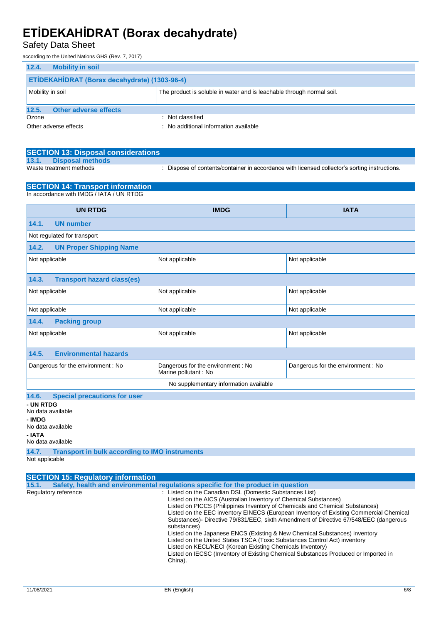### Safety Data Sheet

according to the United Nations GHS (Rev. 7, 2017)

| 12.4.<br><b>Mobility in soil</b>                                                          |                                     |  |
|-------------------------------------------------------------------------------------------|-------------------------------------|--|
| <b>ETİDEKAHİDRAT (Borax decahydrate) (1303-96-4)</b>                                      |                                     |  |
| The product is soluble in water and is leachable through normal soil.<br>Mobility in soil |                                     |  |
|                                                                                           |                                     |  |
| <b>Other adverse effects</b><br>12.5.                                                     |                                     |  |
| Ozone                                                                                     | : Not classified                    |  |
| Other adverse effects                                                                     | No additional information available |  |

|       | <b>SECTION 13: Disposal considerations</b> |                                                                                               |
|-------|--------------------------------------------|-----------------------------------------------------------------------------------------------|
| 13.1. | Disposal methods                           |                                                                                               |
|       | Waste treatment methods                    | . Dispose of contents/container in accordance with licensed collector's sorting instructions. |

#### **SECTION 14: Transport information** In accordance with IMDG / IATA / UN RTDG

| <b>UN RTDG</b><br><b>IATA</b><br><b>IMDG</b>       |                                                            |                                   |  |
|----------------------------------------------------|------------------------------------------------------------|-----------------------------------|--|
| <b>UN number</b><br>14.1.                          |                                                            |                                   |  |
| Not regulated for transport                        |                                                            |                                   |  |
| <b>UN Proper Shipping Name</b><br>14.2.            |                                                            |                                   |  |
| Not applicable                                     | Not applicable                                             | Not applicable                    |  |
| <b>Transport hazard class(es)</b><br>14.3.         |                                                            |                                   |  |
| Not applicable<br>Not applicable<br>Not applicable |                                                            |                                   |  |
| Not applicable<br>Not applicable<br>Not applicable |                                                            |                                   |  |
| <b>Packing group</b><br>14.4.                      |                                                            |                                   |  |
| Not applicable                                     | Not applicable                                             | Not applicable                    |  |
| <b>Environmental hazards</b><br>14.5.              |                                                            |                                   |  |
| Dangerous for the environment : No                 | Dangerous for the environment: No<br>Marine pollutant : No | Dangerous for the environment: No |  |
| No supplementary information available             |                                                            |                                   |  |
| 14.6.<br><b>Special precautions for user</b>       |                                                            |                                   |  |

**- UN RTDG** No data available **- IMDG** No data available **- IATA**

No data available

**14.7. Transport in bulk according to IMO instruments**

Not applicable

|                                                                                                                                                                                                                                                                                                                                                                                                                                                                                                                                                                             |                                                                                                                                                                                 | <b>SECTION 15: Regulatory information</b> |
|-----------------------------------------------------------------------------------------------------------------------------------------------------------------------------------------------------------------------------------------------------------------------------------------------------------------------------------------------------------------------------------------------------------------------------------------------------------------------------------------------------------------------------------------------------------------------------|---------------------------------------------------------------------------------------------------------------------------------------------------------------------------------|-------------------------------------------|
| Safety, health and environmental regulations specific for the product in question<br>15.1.                                                                                                                                                                                                                                                                                                                                                                                                                                                                                  |                                                                                                                                                                                 |                                           |
| : Listed on the Canadian DSL (Domestic Substances List)<br>Regulatory reference<br>Listed on the AICS (Australian Inventory of Chemical Substances)<br>Listed on PICCS (Philippines Inventory of Chemicals and Chemical Substances)<br>substances)<br>Listed on the Japanese ENCS (Existing & New Chemical Substances) inventory<br>Listed on the United States TSCA (Toxic Substances Control Act) inventory<br>Listed on KECL/KECI (Korean Existing Chemicals Inventory)<br>Listed on IECSC (Inventory of Existing Chemical Substances Produced or Imported in<br>China). | Listed on the EEC inventory EINECS (European Inventory of Existing Commercial Chemical<br>Substances)- Directive 79/831/EEC, sixth Amendment of Directive 67/548/EEC (dangerous |                                           |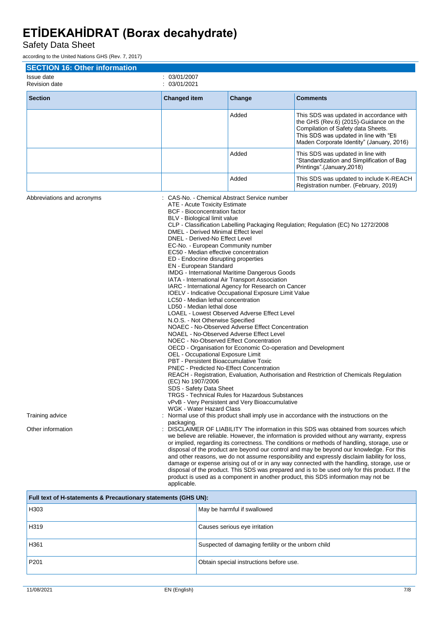Safety Data Sheet

according to the United Nations GHS (Rev. 7, 2017)

| <b>SECTION 16: Other information</b>                               |                                                                                                                                                                                                                                                                                                                                                                                                                                                                                                                                                                                                                                                                                                                                                                                                                                                                            |                                                                                                                                                                                                                                                                                                                                                                                                                                        |                                                                                                                                                                                                                                                                                                                                                                                                                                                                                                                                                                                                                                                                                                                                                                                                                                                                                                                                                                                                                                                  |
|--------------------------------------------------------------------|----------------------------------------------------------------------------------------------------------------------------------------------------------------------------------------------------------------------------------------------------------------------------------------------------------------------------------------------------------------------------------------------------------------------------------------------------------------------------------------------------------------------------------------------------------------------------------------------------------------------------------------------------------------------------------------------------------------------------------------------------------------------------------------------------------------------------------------------------------------------------|----------------------------------------------------------------------------------------------------------------------------------------------------------------------------------------------------------------------------------------------------------------------------------------------------------------------------------------------------------------------------------------------------------------------------------------|--------------------------------------------------------------------------------------------------------------------------------------------------------------------------------------------------------------------------------------------------------------------------------------------------------------------------------------------------------------------------------------------------------------------------------------------------------------------------------------------------------------------------------------------------------------------------------------------------------------------------------------------------------------------------------------------------------------------------------------------------------------------------------------------------------------------------------------------------------------------------------------------------------------------------------------------------------------------------------------------------------------------------------------------------|
| Issue date<br><b>Revision date</b>                                 | 03/01/2007<br>03/01/2021                                                                                                                                                                                                                                                                                                                                                                                                                                                                                                                                                                                                                                                                                                                                                                                                                                                   |                                                                                                                                                                                                                                                                                                                                                                                                                                        |                                                                                                                                                                                                                                                                                                                                                                                                                                                                                                                                                                                                                                                                                                                                                                                                                                                                                                                                                                                                                                                  |
| <b>Section</b>                                                     | <b>Changed item</b>                                                                                                                                                                                                                                                                                                                                                                                                                                                                                                                                                                                                                                                                                                                                                                                                                                                        | Change                                                                                                                                                                                                                                                                                                                                                                                                                                 | <b>Comments</b>                                                                                                                                                                                                                                                                                                                                                                                                                                                                                                                                                                                                                                                                                                                                                                                                                                                                                                                                                                                                                                  |
|                                                                    |                                                                                                                                                                                                                                                                                                                                                                                                                                                                                                                                                                                                                                                                                                                                                                                                                                                                            | Added                                                                                                                                                                                                                                                                                                                                                                                                                                  | This SDS was updated in accordance with<br>the GHS (Rev.6) (2015)-Guidance on the<br>Compilation of Safety data Sheets.<br>This SDS was updated in line with "Eti<br>Maden Corporate Identity" (January, 2016)                                                                                                                                                                                                                                                                                                                                                                                                                                                                                                                                                                                                                                                                                                                                                                                                                                   |
|                                                                    |                                                                                                                                                                                                                                                                                                                                                                                                                                                                                                                                                                                                                                                                                                                                                                                                                                                                            | Added                                                                                                                                                                                                                                                                                                                                                                                                                                  | This SDS was updated in line with<br>"Standardization and Simplification of Bag<br>Printings".(January,2018)                                                                                                                                                                                                                                                                                                                                                                                                                                                                                                                                                                                                                                                                                                                                                                                                                                                                                                                                     |
|                                                                    |                                                                                                                                                                                                                                                                                                                                                                                                                                                                                                                                                                                                                                                                                                                                                                                                                                                                            | Added                                                                                                                                                                                                                                                                                                                                                                                                                                  | This SDS was updated to include K-REACH<br>Registration number. (February, 2019)                                                                                                                                                                                                                                                                                                                                                                                                                                                                                                                                                                                                                                                                                                                                                                                                                                                                                                                                                                 |
| Abbreviations and acronyms<br>Training advice<br>Other information | : CAS-No. - Chemical Abstract Service number<br>ATE - Acute Toxicity Estimate<br><b>BCF</b> - Bioconcentration factor<br>BLV - Biological limit value<br>DMEL - Derived Minimal Effect level<br>DNEL - Derived-No Effect Level<br>EC-No. - European Community number<br>EC50 - Median effective concentration<br>ED - Endocrine disrupting properties<br>EN - European Standard<br>IATA - International Air Transport Association<br>LC50 - Median lethal concentration<br>LD50 - Median lethal dose<br>N.O.S. - Not Otherwise Specified<br>NOAEL - No-Observed Adverse Effect Level<br>NOEC - No-Observed Effect Concentration<br>OEL - Occupational Exposure Limit<br>PBT - Persistent Bioaccumulative Toxic<br><b>PNEC</b> - Predicted No-Effect Concentration<br>(EC) No 1907/2006<br>SDS - Safety Data Sheet<br>WGK - Water Hazard Class<br>packaging.<br>applicable. | IMDG - International Maritime Dangerous Goods<br>IARC - International Agency for Research on Cancer<br>IOELV - Indicative Occupational Exposure Limit Value<br>LOAEL - Lowest Observed Adverse Effect Level<br>NOAEC - No-Observed Adverse Effect Concentration<br>OECD - Organisation for Economic Co-operation and Development<br>TRGS - Technical Rules for Hazardous Substances<br>vPvB - Very Persistent and Very Bioaccumulative | CLP - Classification Labelling Packaging Regulation; Regulation (EC) No 1272/2008<br>REACH - Registration, Evaluation, Authorisation and Restriction of Chemicals Regulation<br>Normal use of this product shall imply use in accordance with the instructions on the<br>DISCLAIMER OF LIABILITY The information in this SDS was obtained from sources which<br>we believe are reliable. However, the information is provided without any warranty, express<br>or implied, regarding its correctness. The conditions or methods of handling, storage, use or<br>disposal of the product are beyond our control and may be beyond our knowledge. For this<br>and other reasons, we do not assume responsibility and expressly disclaim liability for loss,<br>damage or expense arising out of or in any way connected with the handling, storage, use or<br>disposal of the product. This SDS was prepared and is to be used only for this product. If the<br>product is used as a component in another product, this SDS information may not be |

| Full text of H-statements & Precautionary statements (GHS UN): |                                                     |  |
|----------------------------------------------------------------|-----------------------------------------------------|--|
| H303                                                           | May be harmful if swallowed                         |  |
| H319                                                           | Causes serious eye irritation                       |  |
| H361                                                           | Suspected of damaging fertility or the unborn child |  |
| P <sub>201</sub>                                               | Obtain special instructions before use.             |  |